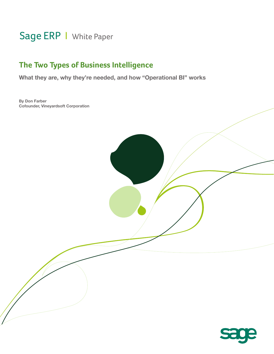# Sage ERP | White Paper

## **The Two Types of Business Intelligence**

**What they are, why they're needed, and how "Operational BI" works**

**By Don Farber Cofounder, Vineyardsoft Corporation**

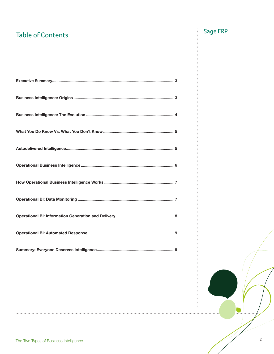# Table of Contents **Table of Contents**

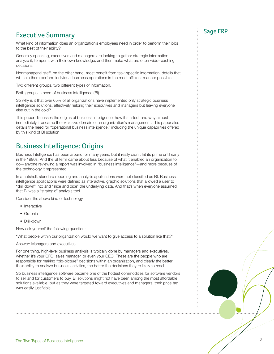## Executive Summary and the state of the Sage ERP state  $\sim$  Executive Summary

What kind of information does an organization's employees need in order to perform their jobs to the best of their ability?

Generally speaking, executives and managers are looking to gather strategic information, analyze it, temper it with their own knowledge, and then make what are often wide-reaching decisions.

Nonmanagerial staff, on the other hand, most benefit from task-specific information, details that will help them perform individual business operations in the most efficient manner possible.

Two different groups, two different types of information.

Both groups in need of business intelligence (BI).

So why is it that over 65% of all organizations have implemented only strategic business intelligence solutions, effectively helping their executives and managers but leaving everyone else out in the cold?

This paper discusses the origins of business intelligence, how it started, and why almost immediately it became the exclusive domain of an organization's management. This paper also details the need for "operational business intelligence," including the unique capabilities offered by this kind of BI solution.

### Business Intelligence: Origins

Business Intelligence has been around for many years, but it really didn't hit its prime until early in the 1990s. And the BI term came about less because of what it enabled an organization to do—anyone reviewing a report was involved in "business intelligence"—and more because of the technology it represented.

In a nutshell, standard reporting and analysis applications were not classified as BI. Business intelligence applications were defined as interactive, graphic solutions that allowed a user to "drill down" into and "slice and dice" the underlying data. And that's when everyone assumed that BI was a "strategic" analysis tool.

Consider the above kind of technology.

- Interactive
- Graphic
- Drill-down

Now ask yourself the following question:

"What people within our organization would we want to give access to a solution like that?"

Answer: Managers and executives.

For one thing, high-level business analysis is typically done by managers and executives, whether it's your CFO, sales manager, or even your CEO. These are the people who are responsible for making "big-picture" decisions within an organization, and clearly the better their ability to analyze business activities, the better the decisions they're likely to reach.

So business intelligence software became one of the hottest commodities for software vendors to sell and for customers to buy. BI solutions might not have been among the most affordable solutions available, but as they were targeted toward executives and managers, their price tag was easily justifiable.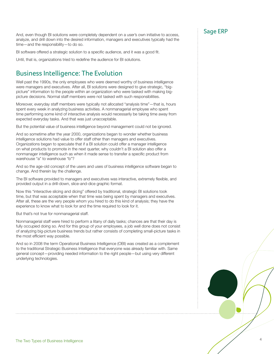And, even though BI solutions were completely dependent on a user's own initiative to access, **Sage ERP** analyze, and drill down into the desired information, managers and executives typically had the time—and the responsibility—to do so.

BI software offered a strategic solution to a specific audience, and it was a good fit.

Until, that is, organizations tried to redefine the audience for BI solutions.

### Business Intelligence: The Evolution

Well past the 1990s, the only employees who were deemed worthy of business intelligence were managers and executives. After all, BI solutions were designed to give strategic, "bigpicture" information to the people within an organization who were tasked with making bigpicture decisions. Normal staff members were not tasked with such responsibilities.

Moreover, everyday staff members were typically not allocated "analysis time"—that is, hours spent every week in analyzing business activities. A nonmanagerial employee who spent time performing some kind of interactive analysis would necessarily be taking time away from expected everyday tasks. And that was just unacceptable.

But the potential value of business intelligence beyond management could not be ignored.

And so sometime after the year 2000, organizations began to wonder whether business intelligence solutions had value to offer staff other than managers and executives. Organizations began to speculate that if a BI solution could offer a manager intelligence on what products to promote in the next quarter, why couldn't a BI solution also offer a nonmanager intelligence such as when it made sense to transfer a specific product from warehouse "a" to warehouse "b"?

And so the age-old concept of the users and uses of business intelligence software began to change. And therein lay the challenge.

The BI software provided to managers and executives was interactive, extremely flexible, and provided output in a drill-down, slice-and-dice graphic format.

Now this "interactive slicing and dicing" offered by traditional, strategic BI solutions took time, but that was acceptable when that time was being spent by managers and executives. After all, these are the very people whom you hired to do this kind of analysis; they have the experience to know what to look for and the time required to look for it.

But that's not true for nonmanagerial staff.

Nonmanagerial staff were hired to perform a litany of daily tasks; chances are that their day is fully occupied doing so. And for this group of your employees, a job well done does not consist of analyzing big-picture business trends but rather consists of completing small-picture tasks in the most efficient way possible.

And so in 2008 the term Operational Business Intelligence (OBI) was created as a complement to the traditional Strategic Business Intelligence that everyone was already familiar with. Same general concept—providing needed information to the right people—but using very different underlying technologies.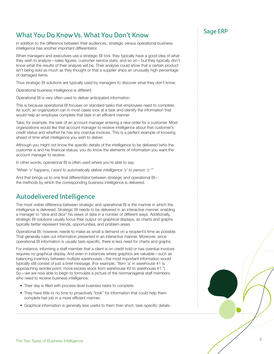## Sage ERP What You Do Know Vs. What You Don't Know

In addition to the difference between their audiences, strategic versus operational business intelligence has another important differentiator.

When managers and executives use a strategic BI tool, they typically have a good idea of what they wish to analyze—sales figures, customer service stats, and so on—but they typically don't know what the results of their analysis will be. Their analysis could show that a certain product isn't being sold as much as they thought or that a supplier ships an unusually high percentage of damaged items.

Thus strategic BI solutions are typically used by managers to discover what they don't know.

Operational business intelligence is different.

Operational BI is very often used to deliver anticipated information.

This is because operational BI focuses on standard tasks that employees need to complete. As such, an organization can in most cases look at a task and identify the information that would help an employee complete that task in an efficient manner.

Take, for example, the task of an account manager entering a new order for a customer. Most organizations would like that account manager to receive intelligence about that customer's credit status and whether he has any overdue invoices. This is a perfect example of knowing ahead of time what intelligence you wish to deliver.

Although you might not know the specific details of the intelligence to be delivered (who the customer is and his financial status), you do know the elements of information you want the account manager to receive.

In other words, operational BI is often used where you're able to say:

*"When 'x' happens, I want to automatically deliver intelligence 'y' to person 'z.'"*

And that brings us to one final differentiator between strategic and operational BI the methods by which the corresponding business intelligence is delivered.

### Autodelivered Intelligence

The most visible difference between strategic and operational BI is the manner in which the intelligence is delivered. Strategic BI needs to be delivered in an interactive manner, enabling a manager to "slice and dice" his views of data in a number of different ways. Additionally, strategic BI solutions usually focus their output on graphical displays, as charts and graphs typically better represent trends, opportunities, and problem areas.

Operational BI, however, needs to make as small a demand on a recipient's time as possible. That generally rules out information presented in an interactive manner. Moreover, since operational BI information is usually task-specific, there is less need for charts and graphs.

For instance, informing a staff member that a client is on credit hold or has overdue invoices requires no graphical display. And even in instances where graphics are valuable—such as balancing inventory between multiple warehouses—the most important information would typically still consist of just a brief message. (For example, "Item 'a' in warehouse #1 is approaching reorder point; move excess stock from warehouse #2 to warehouse #1.") So—we are now able to begin to formulate a picture of the nonmanagerial staff members who need to receive business intelligence:

- Their day is filled with process-level business tasks to complete.
- They have little or no time to proactively "look" for information that could help them complete heir job in a more efficient manner.
- Graphical information is generally less useful to them than short, task-specific details.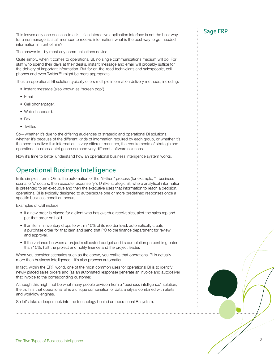This leaves only one question to ask—if an interactive application interface is not the best way  $\qquad \qquad$ : Sage ERP for a nonmanagerial staff member to receive information, what is the best way to get needed information in front of him?

The answer is—by most any communications device.

Quite simply, when it comes to operational BI, no single communications medium will do. For staff who spend their days at their desks, instant message and email will probably suffice for the delivery of important information. But for on-the-road technicians and salespeople, cell phones and even Twitter™ might be more appropriate.

Thus an operational BI solution typically offers multiple information delivery methods, including:

- Instant message (also known as "screen pop").
- Email.
- Cell phone/pager.
- Web dashboard.
- Fax.
- Twitter.

So—whether it's due to the differing audiences of strategic and operational BI solutions, whether it's because of the different kinds of information required by each group, or whether it's the need to deliver this information in very different manners, the requirements of strategic and operational business intelligence demand very different software solutions.

Now it's time to better understand how an operational business intelligence system works.

### Operational Business Intelligence

In its simplest form, OBI is the automation of the "if–then" process (for example, "if business scenario 'x' occurs, then execute response 'y'). Unlike strategic BI, where analytical information is presented to an executive and then the executive uses that information to reach a decision, operational BI is typically designed to autoexecute one or more predefined responses once a specific business condition occurs.

Examples of OBI include:

- If a new order is placed for a client who has overdue receivables, alert the sales rep and put that order on hold.
- If an item in inventory drops to within 10% of its reorder level, automatically create a purchase order for that item and send that PO to the finance department for review and approval.
- If the variance between a project's allocated budget and its completion percent is greater than 15%, halt the project and notify finance and the project leader.

When you consider scenarios such as the above, you realize that operational BI is actually more than business intelligence—it's also process automation.

In fact, within the ERP world, one of the most common uses for operational BI is to identify newly placed sales orders and (as an automated response) generate an invoice and autodeliver that invoice to the corresponding customer.

Although this might not be what many people envision from a "business intelligence" solution, the truth is that operational BI is a unique combination of data analysis combined with alerts and workflow engines.

So let's take a deeper look into the technology behind an operational BI system.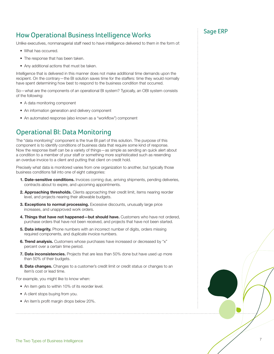## Sage ERP How Operational Business Intelligence Works

Unlike executives, nonmanagerial staff need to have intelligence delivered to them in the form of:

- What has occurred.
- The response that has been taken.
- Any additional actions that must be taken.

Intelligence that is delivered in this manner does not make additional time demands upon the recipient. On the contrary—the BI solution saves time for the staffers: time they would normally have spent determining how best to respond to the business condition that occurred.

So—what are the components of an operational BI system? Typically, an OBI system consists of the following:

- A data monitoring component
- An information generation and delivery component
- An automated response (also known as a "workflow") component

### Operational BI: Data Monitoring

The "data monitoring" component is the true BI part of this solution. The purpose of this component is to identify conditions of business data that require some kind of response. Now the response itself can be a variety of things—as simple as sending an quick alert about a condition to a member of your staff or something more sophisticated such as resending an overdue invoice to a client and putting that client on credit hold.

Precisely what data is monitored varies from one organization to another, but typically those business conditions fall into one of eight categories:

- **1. Date-sensitive conditions.** Invoices coming due, arriving shipments, pending deliveries, contracts about to expire, and upcoming appointments.
- **2. Approaching thresholds.** Clients approaching their credit limit, items nearing reorder level, and projects nearing their allowable budgets.
- **3. Exceptions to normal processing.** Excessive discounts, unusually large price increases, and unapproved work orders.
- **4. Things that have not happened—but should have.** Customers who have not ordered, purchase orders that have not been received, and projects that have not been started.
- **5. Data integrity.** Phone numbers with an incorrect number of digits, orders missing required components, and duplicate invoice numbers.
- **6. Trend analysis.** Customers whose purchases have increased or decreased by "x" percent over a certain time period.
- **7. Data inconsistencies.** Projects that are less than 50% done but have used up more than 50% of their budgets.
- **8. Data changes.** Changes to a customer's credit limit or credit status or changes to an item's cost or lead time.

For example, you might like to know when:

- An item gets to within 10% of its reorder level.
- A client stops buying from you.
- An item's profit margin drops below 20%.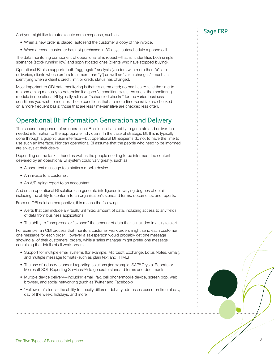And you might like to autoexecute some response, such as: **Sage ERP** and you might like to autoexecute some response, such as:

- When a new order is placed, autosend the customer a copy of the invoice.
- When a repeat customer has not purchased in 30 days, autoschedule a phone call.

The data monitoring component of operational BI is robust—that is, it identifies both simple scenarios (stock running low) and sophisticated ones (clients who have stopped buying).

Operational BI also supports both "aggregate" analysis (vendors with more than "x" late deliveries, clients whose orders total more than "y") as well as "value changes"—such as identifying when a client's credit limit or credit status has changed.

Most important to OBI data monitoring is that it's automated; no one has to take the time to run something manually to determine if a specific condition exists. As such, the monitoring module in operational BI typically relies on "scheduled checks" for the varied business conditions you wish to monitor. Those conditions that are more time-sensitive are checked on a more frequent basis; those that are less time-sensitive are checked less often.

### Operational BI: Information Generation and Delivery

The second component of an operational BI solution is its ability to generate and deliver the needed information to the appropriate individuals. In the case of strategic BI, this is typically done through a graphic user interface—but operational BI recipients do not to have the time to use such an interface. Nor can operational BI assume that the people who need to be informed are always at their desks.

Depending on the task at hand as well as the people needing to be informed, the content delivered by an operational BI system could vary greatly, such as:

- A short text message to a staffer's mobile device.
- An invoice to a customer.
- An A/R Aging report to an accountant.

And so an operational BI solution can generate intelligence in varying degrees of detail, including the ability to conform to an organization's standard forms, documents, and reports.

From an OBI solution perspective, this means the following:

- Alerts that can include a virtually unlimited amount of data, including access to any fields of data from business applications
- The ability to "compress" or "expand" the amount of data that is included in a single alert

For example, an OBI process that monitors customer work orders might send each customer one message for each order. However a salesperson would probably get one message showing all of their customers' orders, while a sales manager might prefer one message containing the details of all work orders.

- Support for multiple email systems (for example, Microsoft Exchange, Lotus Notes, Gmail), and multiple message formats (such as plain text and HTML)
- The use of industry-standard reporting solutions (for example, SAP® Crystal Reports or Microsoft SQL Reporting Services™) to generate standard forms and documents
- Multiple device delivery—including email, fax, cell phone/mobile device, screen pop, web browser, and social networking (such as Twitter and Facebook)
- "Follow-me" alerts—the ability to specify different delivery addresses based on time of day, day of the week, holidays, and more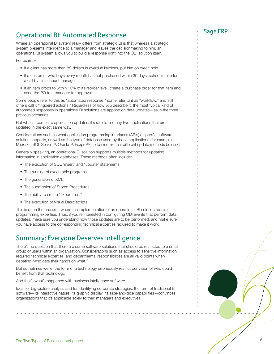## Sage ERP Operational BI: Automated Response

Where an operational BI system really differs from strategic BI is that whereas a strategic system presents intelligence to a manager and leaves the decisionmaking to him, an operational BI system allows you to build a response right into the OBI solution itself.

For example:

- If a client has more than "x" dollars in overdue invoices, put him on credit hold.
- If a customer who buys every month has not purchased within 30 days, schedule him for a call by his account manager.
- If an item drops to within 10% of its reorder level, create a purchase order for that item and send the PO to a manager for approval.

Some people refer to this as "automated response," some refer to it as "workflow," and still others call it "triggered actions." Regardless of how you describe it, the most typical kind of automated responses in operational BI solutions are application data updates—as in the three previous scenarios.

But when it comes to application updates, it's rare to find any two applications that are updated in the exact same way.

Considerations such as what application programming interfaces (APIs) a specific software solution supports, as well as the type of database used by those applications (for example, Microsoft SQL Server™, Oracle™, Foxpro™), often require that different update methods be used.

Generally speaking, an operational BI solution supports multiple methods for updating information in application databases. These methods often include:

- The execution of SQL "insert" and "update" statements.
- The running of executable programs.
- The generation of XML.
- The submission of Stored Procedures.
- The ability to create "export files."
- The execution of Visual Basic scripts.

This is often the one area where the implementation of an operational BI solution requires programming expertise. Thus, if you're interested in configuring OBI events that perform data updates, make sure you understand how those updates are to be performed, and make sure you have access to the corresponding technical expertise required to make it work.

### Summary: Everyone Deserves Intelligence

There's no question that there are some software solutions that should be restricted to a small group of users within an organization. Considerations such as access to sensitive information, required technical expertise, and departmental responsibilities are all valid points when debating "who gets their hands on what."

But sometimes we let the form of a technology erroneously restrict our vision of who could benefit from that technology.

And that's what's happened with business intelligence software.

Ideal for big-picture analysis and for identifying corporate strategies, the form of traditional BI software—its interactive nature, its graphic display, its slice-and-dice capabilities—convinces organizations that it's applicable solely to their managers and executives.